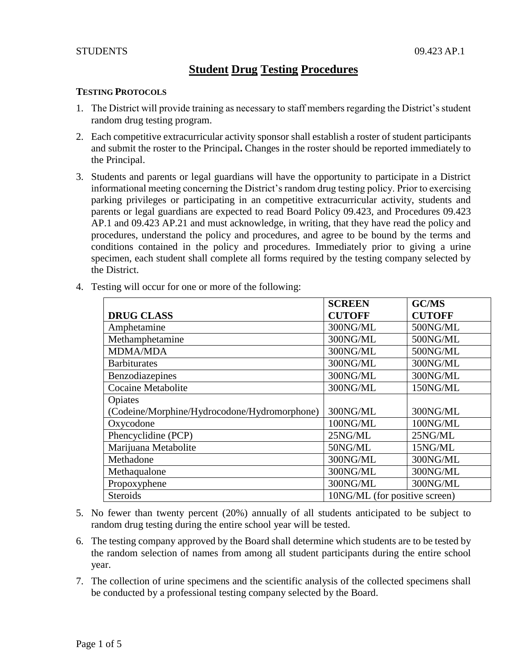# **Student Drug Testing Procedures**

## **TESTING PROTOCOLS**

- 1. The District will provide training as necessary to staff members regarding the District's student random drug testing program.
- 2. Each competitive extracurricular activity sponsor shall establish a roster of student participants and submit the roster to the Principal**.** Changes in the roster should be reported immediately to the Principal.
- 3. Students and parents or legal guardians will have the opportunity to participate in a District informational meeting concerning the District's random drug testing policy. Prior to exercising parking privileges or participating in an competitive extracurricular activity, students and parents or legal guardians are expected to read Board Policy 09.423, and Procedures 09.423 AP.1 and 09.423 AP.21 and must acknowledge, in writing, that they have read the policy and procedures, understand the policy and procedures, and agree to be bound by the terms and conditions contained in the policy and procedures. Immediately prior to giving a urine specimen, each student shall complete all forms required by the testing company selected by the District.

|                                              | <b>SCREEN</b>                 | <b>GC/MS</b>  |
|----------------------------------------------|-------------------------------|---------------|
| <b>DRUG CLASS</b>                            | <b>CUTOFF</b>                 | <b>CUTOFF</b> |
| Amphetamine                                  | 300NG/ML                      | 500NG/ML      |
| Methamphetamine                              | 300NG/ML                      | 500NG/ML      |
| <b>MDMA/MDA</b>                              | 300NG/ML                      | 500NG/ML      |
| <b>Barbiturates</b>                          | 300NG/ML                      | 300NG/ML      |
| Benzodiazepines                              | 300NG/ML                      | 300NG/ML      |
| <b>Cocaine Metabolite</b>                    | 300NG/ML                      | 150NG/ML      |
| Opiates                                      |                               |               |
| (Codeine/Morphine/Hydrocodone/Hydromorphone) | 300NG/ML                      | 300NG/ML      |
| Oxycodone                                    | 100NG/ML                      | 100NG/ML      |
| Phencyclidine (PCP)                          | 25NG/ML                       | 25NG/ML       |
| Marijuana Metabolite                         | 50NG/ML                       | 15NG/ML       |
| Methadone                                    | 300NG/ML                      | 300NG/ML      |
| Methaqualone                                 | 300NG/ML                      | 300NG/ML      |
| Propoxyphene                                 | 300NG/ML                      | 300NG/ML      |
| <b>Steroids</b>                              | 10NG/ML (for positive screen) |               |

4. Testing will occur for one or more of the following:

- 5. No fewer than twenty percent (20%) annually of all students anticipated to be subject to random drug testing during the entire school year will be tested.
- 6. The testing company approved by the Board shall determine which students are to be tested by the random selection of names from among all student participants during the entire school year.
- 7. The collection of urine specimens and the scientific analysis of the collected specimens shall be conducted by a professional testing company selected by the Board.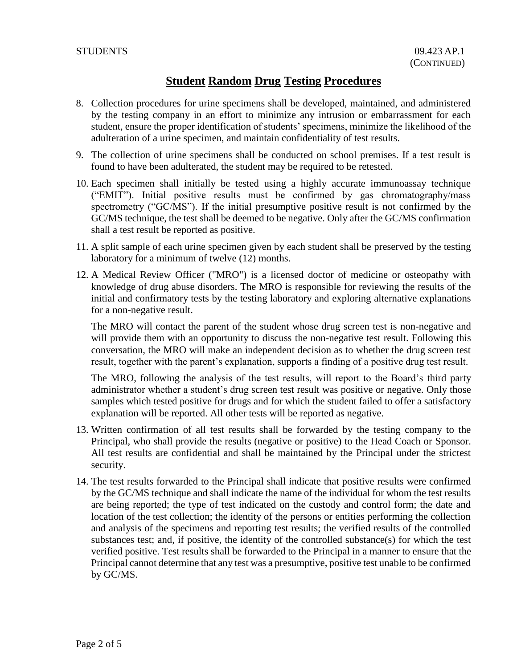- 8. Collection procedures for urine specimens shall be developed, maintained, and administered by the testing company in an effort to minimize any intrusion or embarrassment for each student, ensure the proper identification of students' specimens, minimize the likelihood of the adulteration of a urine specimen, and maintain confidentiality of test results.
- 9. The collection of urine specimens shall be conducted on school premises. If a test result is found to have been adulterated, the student may be required to be retested.
- 10. Each specimen shall initially be tested using a highly accurate immunoassay technique ("EMIT"). Initial positive results must be confirmed by gas chromatography/mass spectrometry ("GC/MS"). If the initial presumptive positive result is not confirmed by the GC/MS technique, the test shall be deemed to be negative. Only after the GC/MS confirmation shall a test result be reported as positive.
- 11. A split sample of each urine specimen given by each student shall be preserved by the testing laboratory for a minimum of twelve (12) months.
- 12. A Medical Review Officer ("MRO") is a licensed doctor of medicine or osteopathy with knowledge of drug abuse disorders. The MRO is responsible for reviewing the results of the initial and confirmatory tests by the testing laboratory and exploring alternative explanations for a non-negative result.

The MRO will contact the parent of the student whose drug screen test is non-negative and will provide them with an opportunity to discuss the non-negative test result. Following this conversation, the MRO will make an independent decision as to whether the drug screen test result, together with the parent's explanation, supports a finding of a positive drug test result.

The MRO, following the analysis of the test results, will report to the Board's third party administrator whether a student's drug screen test result was positive or negative. Only those samples which tested positive for drugs and for which the student failed to offer a satisfactory explanation will be reported. All other tests will be reported as negative.

- 13. Written confirmation of all test results shall be forwarded by the testing company to the Principal, who shall provide the results (negative or positive) to the Head Coach or Sponsor. All test results are confidential and shall be maintained by the Principal under the strictest security.
- 14. The test results forwarded to the Principal shall indicate that positive results were confirmed by the GC/MS technique and shall indicate the name of the individual for whom the test results are being reported; the type of test indicated on the custody and control form; the date and location of the test collection; the identity of the persons or entities performing the collection and analysis of the specimens and reporting test results; the verified results of the controlled substances test; and, if positive, the identity of the controlled substance(s) for which the test verified positive. Test results shall be forwarded to the Principal in a manner to ensure that the Principal cannot determine that any test was a presumptive, positive test unable to be confirmed by GC/MS.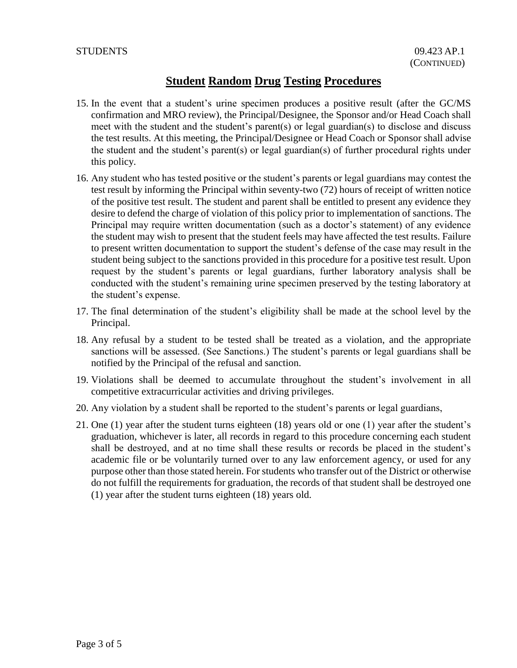- 15. In the event that a student's urine specimen produces a positive result (after the GC/MS confirmation and MRO review), the Principal/Designee, the Sponsor and/or Head Coach shall meet with the student and the student's parent(s) or legal guardian(s) to disclose and discuss the test results. At this meeting, the Principal/Designee or Head Coach or Sponsor shall advise the student and the student's parent(s) or legal guardian(s) of further procedural rights under this policy.
- 16. Any student who has tested positive or the student's parents or legal guardians may contest the test result by informing the Principal within seventy-two (72) hours of receipt of written notice of the positive test result. The student and parent shall be entitled to present any evidence they desire to defend the charge of violation of this policy prior to implementation of sanctions. The Principal may require written documentation (such as a doctor's statement) of any evidence the student may wish to present that the student feels may have affected the test results. Failure to present written documentation to support the student's defense of the case may result in the student being subject to the sanctions provided in this procedure for a positive test result. Upon request by the student's parents or legal guardians, further laboratory analysis shall be conducted with the student's remaining urine specimen preserved by the testing laboratory at the student's expense.
- 17. The final determination of the student's eligibility shall be made at the school level by the Principal.
- 18. Any refusal by a student to be tested shall be treated as a violation, and the appropriate sanctions will be assessed. (See Sanctions.) The student's parents or legal guardians shall be notified by the Principal of the refusal and sanction.
- 19. Violations shall be deemed to accumulate throughout the student's involvement in all competitive extracurricular activities and driving privileges.
- 20. Any violation by a student shall be reported to the student's parents or legal guardians,
- 21. One (1) year after the student turns eighteen (18) years old or one (1) year after the student's graduation, whichever is later, all records in regard to this procedure concerning each student shall be destroyed, and at no time shall these results or records be placed in the student's academic file or be voluntarily turned over to any law enforcement agency, or used for any purpose other than those stated herein. For students who transfer out of the District or otherwise do not fulfill the requirements for graduation, the records of that student shall be destroyed one (1) year after the student turns eighteen (18) years old.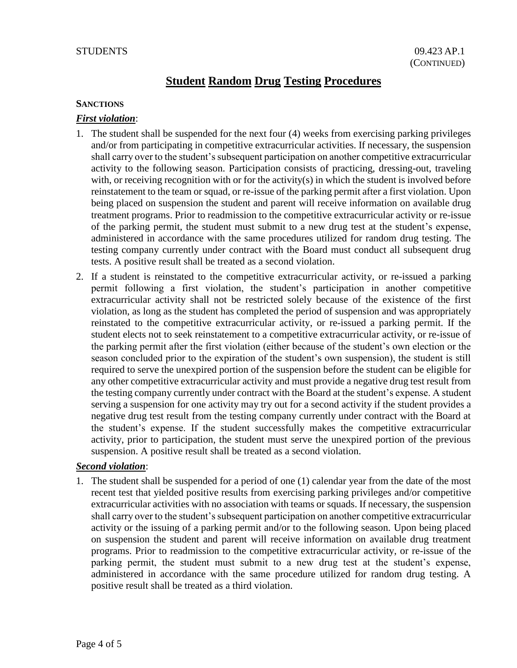#### **SANCTIONS**

## *First violation*:

- 1. The student shall be suspended for the next four (4) weeks from exercising parking privileges and/or from participating in competitive extracurricular activities. If necessary, the suspension shall carry over to the student's subsequent participation on another competitive extracurricular activity to the following season. Participation consists of practicing, dressing-out, traveling with, or receiving recognition with or for the activity(s) in which the student is involved before reinstatement to the team or squad, or re-issue of the parking permit after a first violation. Upon being placed on suspension the student and parent will receive information on available drug treatment programs. Prior to readmission to the competitive extracurricular activity or re-issue of the parking permit, the student must submit to a new drug test at the student's expense, administered in accordance with the same procedures utilized for random drug testing. The testing company currently under contract with the Board must conduct all subsequent drug tests. A positive result shall be treated as a second violation.
- 2. If a student is reinstated to the competitive extracurricular activity, or re-issued a parking permit following a first violation, the student's participation in another competitive extracurricular activity shall not be restricted solely because of the existence of the first violation, as long as the student has completed the period of suspension and was appropriately reinstated to the competitive extracurricular activity, or re-issued a parking permit. If the student elects not to seek reinstatement to a competitive extracurricular activity, or re-issue of the parking permit after the first violation (either because of the student's own election or the season concluded prior to the expiration of the student's own suspension), the student is still required to serve the unexpired portion of the suspension before the student can be eligible for any other competitive extracurricular activity and must provide a negative drug test result from the testing company currently under contract with the Board at the student's expense. A student serving a suspension for one activity may try out for a second activity if the student provides a negative drug test result from the testing company currently under contract with the Board at the student's expense. If the student successfully makes the competitive extracurricular activity, prior to participation, the student must serve the unexpired portion of the previous suspension. A positive result shall be treated as a second violation.

#### *Second violation*:

1. The student shall be suspended for a period of one (1) calendar year from the date of the most recent test that yielded positive results from exercising parking privileges and/or competitive extracurricular activities with no association with teams or squads. If necessary, the suspension shall carry over to the student's subsequent participation on another competitive extracurricular activity or the issuing of a parking permit and/or to the following season. Upon being placed on suspension the student and parent will receive information on available drug treatment programs. Prior to readmission to the competitive extracurricular activity, or re-issue of the parking permit, the student must submit to a new drug test at the student's expense, administered in accordance with the same procedure utilized for random drug testing. A positive result shall be treated as a third violation.